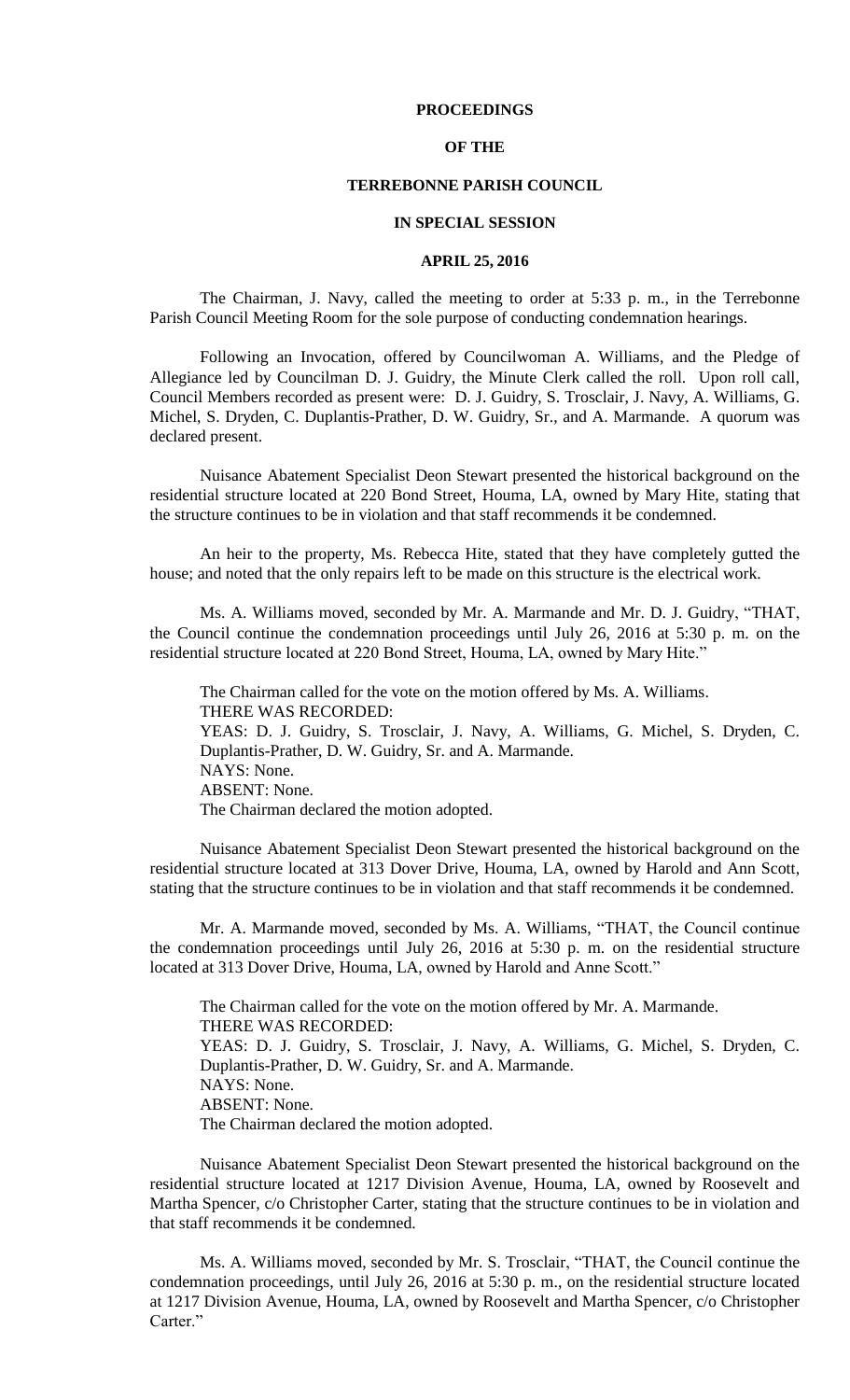## **PROCEEDINGS**

# **OF THE**

## **TERREBONNE PARISH COUNCIL**

#### **IN SPECIAL SESSION**

#### **APRIL 25, 2016**

The Chairman, J. Navy, called the meeting to order at 5:33 p. m., in the Terrebonne Parish Council Meeting Room for the sole purpose of conducting condemnation hearings.

Following an Invocation, offered by Councilwoman A. Williams, and the Pledge of Allegiance led by Councilman D. J. Guidry, the Minute Clerk called the roll. Upon roll call, Council Members recorded as present were: D. J. Guidry, S. Trosclair, J. Navy, A. Williams, G. Michel, S. Dryden, C. Duplantis-Prather, D. W. Guidry, Sr., and A. Marmande. A quorum was declared present.

Nuisance Abatement Specialist Deon Stewart presented the historical background on the residential structure located at 220 Bond Street, Houma, LA, owned by Mary Hite, stating that the structure continues to be in violation and that staff recommends it be condemned.

An heir to the property, Ms. Rebecca Hite, stated that they have completely gutted the house; and noted that the only repairs left to be made on this structure is the electrical work.

Ms. A. Williams moved, seconded by Mr. A. Marmande and Mr. D. J. Guidry, "THAT, the Council continue the condemnation proceedings until July 26, 2016 at 5:30 p. m. on the residential structure located at 220 Bond Street, Houma, LA, owned by Mary Hite."

The Chairman called for the vote on the motion offered by Ms. A. Williams. THERE WAS RECORDED: YEAS: D. J. Guidry, S. Trosclair, J. Navy, A. Williams, G. Michel, S. Dryden, C. Duplantis-Prather, D. W. Guidry, Sr. and A. Marmande. NAYS: None. ABSENT: None. The Chairman declared the motion adopted.

Nuisance Abatement Specialist Deon Stewart presented the historical background on the residential structure located at 313 Dover Drive, Houma, LA, owned by Harold and Ann Scott, stating that the structure continues to be in violation and that staff recommends it be condemned.

Mr. A. Marmande moved, seconded by Ms. A. Williams, "THAT, the Council continue the condemnation proceedings until July 26, 2016 at 5:30 p. m. on the residential structure located at 313 Dover Drive, Houma, LA, owned by Harold and Anne Scott."

The Chairman called for the vote on the motion offered by Mr. A. Marmande. THERE WAS RECORDED: YEAS: D. J. Guidry, S. Trosclair, J. Navy, A. Williams, G. Michel, S. Dryden, C. Duplantis-Prather, D. W. Guidry, Sr. and A. Marmande. NAYS: None. ABSENT: None. The Chairman declared the motion adopted.

Nuisance Abatement Specialist Deon Stewart presented the historical background on the residential structure located at 1217 Division Avenue, Houma, LA, owned by Roosevelt and Martha Spencer, c/o Christopher Carter, stating that the structure continues to be in violation and that staff recommends it be condemned.

Ms. A. Williams moved, seconded by Mr. S. Trosclair, "THAT, the Council continue the condemnation proceedings, until July 26, 2016 at 5:30 p. m., on the residential structure located at 1217 Division Avenue, Houma, LA, owned by Roosevelt and Martha Spencer, c/o Christopher Carter."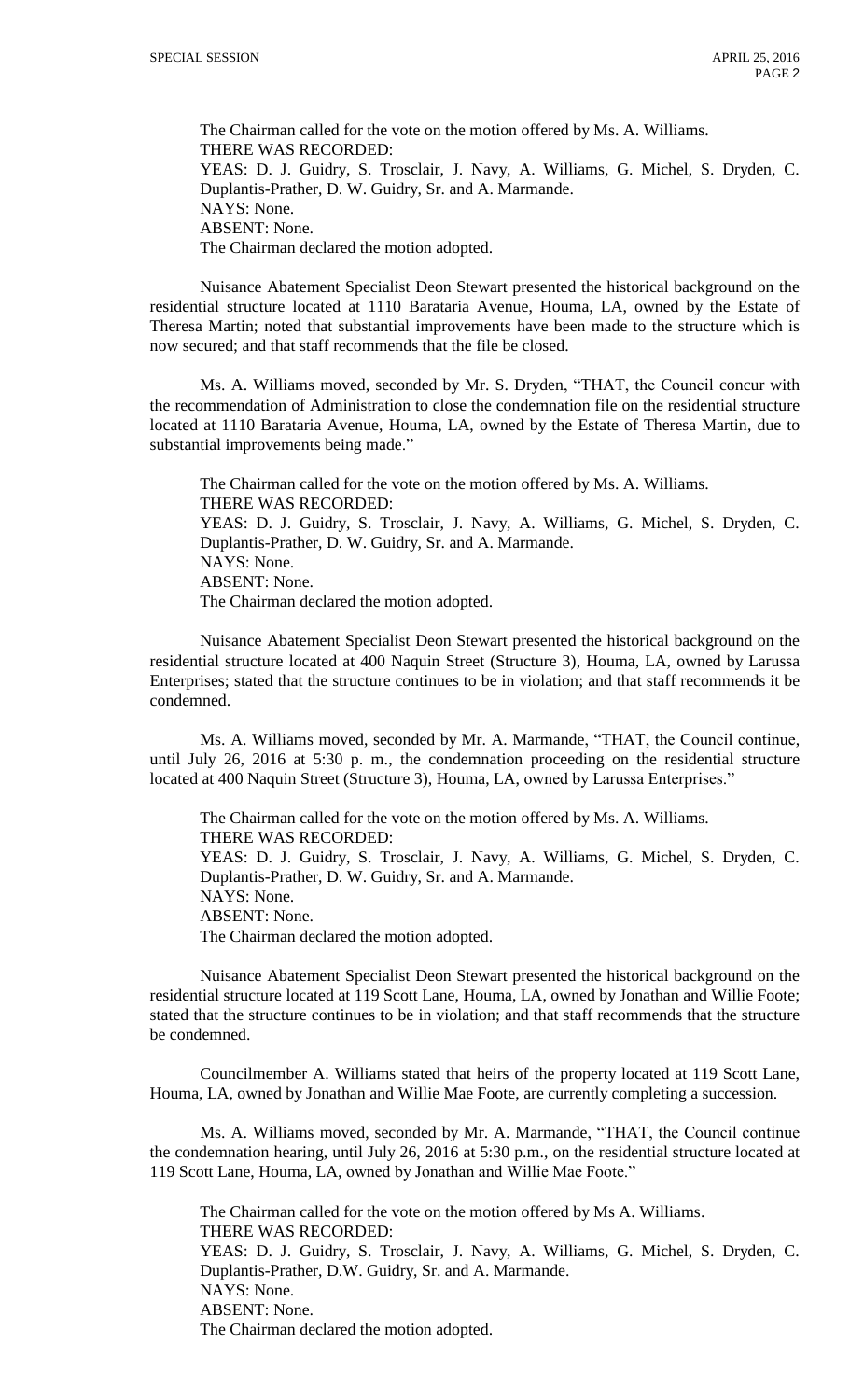The Chairman called for the vote on the motion offered by Ms. A. Williams. THERE WAS RECORDED: YEAS: D. J. Guidry, S. Trosclair, J. Navy, A. Williams, G. Michel, S. Dryden, C. Duplantis-Prather, D. W. Guidry, Sr. and A. Marmande. NAYS: None. ABSENT: None. The Chairman declared the motion adopted.

Nuisance Abatement Specialist Deon Stewart presented the historical background on the residential structure located at 1110 Barataria Avenue, Houma, LA, owned by the Estate of Theresa Martin; noted that substantial improvements have been made to the structure which is now secured; and that staff recommends that the file be closed.

Ms. A. Williams moved, seconded by Mr. S. Dryden, "THAT, the Council concur with the recommendation of Administration to close the condemnation file on the residential structure located at 1110 Barataria Avenue, Houma, LA, owned by the Estate of Theresa Martin, due to substantial improvements being made."

The Chairman called for the vote on the motion offered by Ms. A. Williams. THERE WAS RECORDED: YEAS: D. J. Guidry, S. Trosclair, J. Navy, A. Williams, G. Michel, S. Dryden, C. Duplantis-Prather, D. W. Guidry, Sr. and A. Marmande. NAYS: None. ABSENT: None. The Chairman declared the motion adopted.

Nuisance Abatement Specialist Deon Stewart presented the historical background on the residential structure located at 400 Naquin Street (Structure 3), Houma, LA, owned by Larussa Enterprises; stated that the structure continues to be in violation; and that staff recommends it be condemned.

Ms. A. Williams moved, seconded by Mr. A. Marmande, "THAT, the Council continue, until July 26, 2016 at 5:30 p. m., the condemnation proceeding on the residential structure located at 400 Naquin Street (Structure 3), Houma, LA, owned by Larussa Enterprises."

The Chairman called for the vote on the motion offered by Ms. A. Williams. THERE WAS RECORDED: YEAS: D. J. Guidry, S. Trosclair, J. Navy, A. Williams, G. Michel, S. Dryden, C. Duplantis-Prather, D. W. Guidry, Sr. and A. Marmande. NAYS: None. ABSENT: None. The Chairman declared the motion adopted.

Nuisance Abatement Specialist Deon Stewart presented the historical background on the residential structure located at 119 Scott Lane, Houma, LA, owned by Jonathan and Willie Foote; stated that the structure continues to be in violation; and that staff recommends that the structure be condemned.

Councilmember A. Williams stated that heirs of the property located at 119 Scott Lane, Houma, LA, owned by Jonathan and Willie Mae Foote, are currently completing a succession.

Ms. A. Williams moved, seconded by Mr. A. Marmande, "THAT, the Council continue the condemnation hearing, until July 26, 2016 at 5:30 p.m., on the residential structure located at 119 Scott Lane, Houma, LA, owned by Jonathan and Willie Mae Foote."

The Chairman called for the vote on the motion offered by Ms A. Williams. THERE WAS RECORDED: YEAS: D. J. Guidry, S. Trosclair, J. Navy, A. Williams, G. Michel, S. Dryden, C. Duplantis-Prather, D.W. Guidry, Sr. and A. Marmande. NAYS: None. ABSENT: None. The Chairman declared the motion adopted.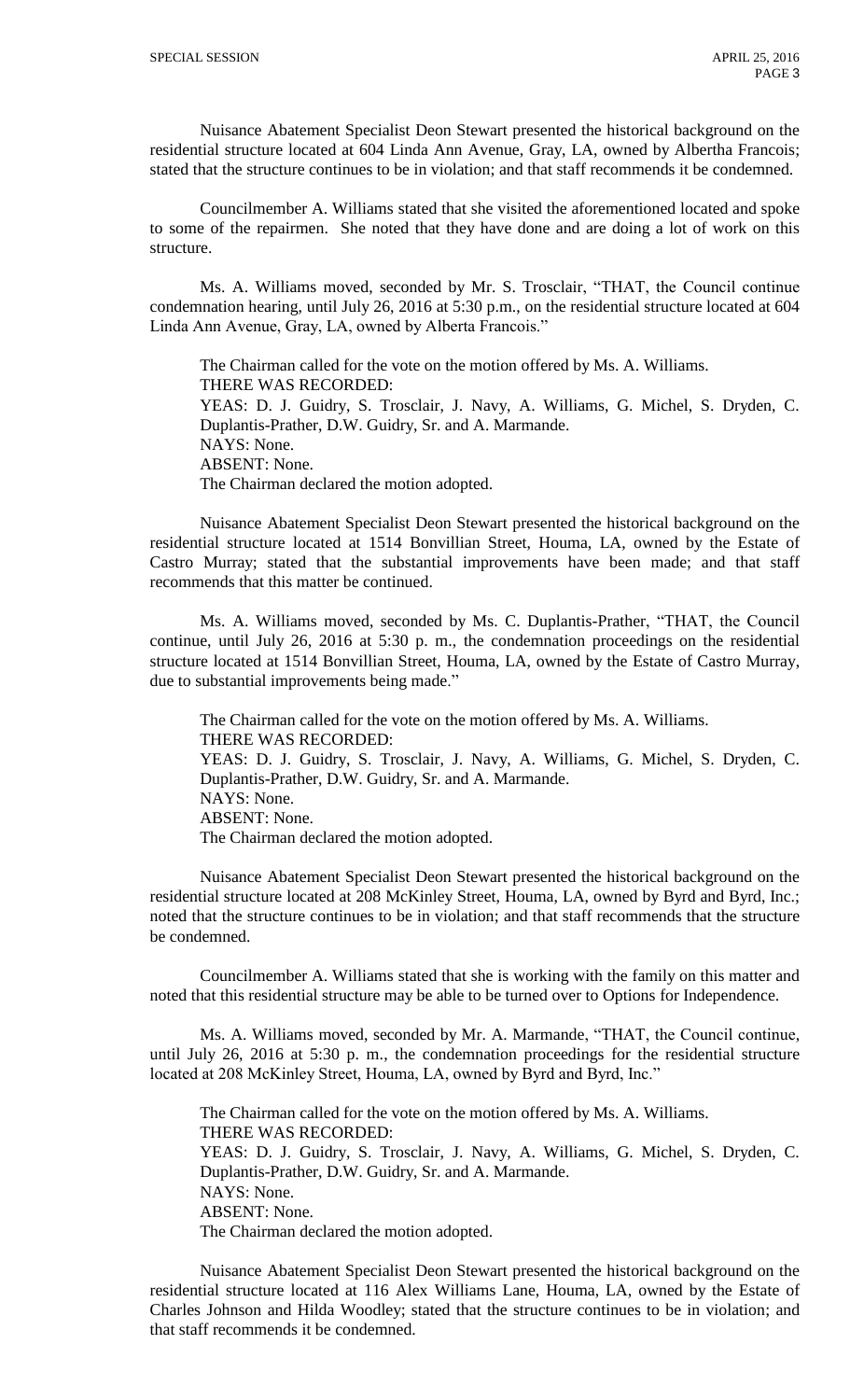Nuisance Abatement Specialist Deon Stewart presented the historical background on the residential structure located at 604 Linda Ann Avenue, Gray, LA, owned by Albertha Francois; stated that the structure continues to be in violation; and that staff recommends it be condemned.

Councilmember A. Williams stated that she visited the aforementioned located and spoke to some of the repairmen. She noted that they have done and are doing a lot of work on this structure.

Ms. A. Williams moved, seconded by Mr. S. Trosclair, "THAT, the Council continue condemnation hearing, until July 26, 2016 at 5:30 p.m., on the residential structure located at 604 Linda Ann Avenue, Gray, LA, owned by Alberta Francois."

The Chairman called for the vote on the motion offered by Ms. A. Williams. THERE WAS RECORDED: YEAS: D. J. Guidry, S. Trosclair, J. Navy, A. Williams, G. Michel, S. Dryden, C. Duplantis-Prather, D.W. Guidry, Sr. and A. Marmande. NAYS: None. ABSENT: None. The Chairman declared the motion adopted.

Nuisance Abatement Specialist Deon Stewart presented the historical background on the residential structure located at 1514 Bonvillian Street, Houma, LA, owned by the Estate of Castro Murray; stated that the substantial improvements have been made; and that staff recommends that this matter be continued.

Ms. A. Williams moved, seconded by Ms. C. Duplantis-Prather, "THAT, the Council continue, until July 26, 2016 at 5:30 p. m., the condemnation proceedings on the residential structure located at 1514 Bonvillian Street, Houma, LA, owned by the Estate of Castro Murray, due to substantial improvements being made."

The Chairman called for the vote on the motion offered by Ms. A. Williams. THERE WAS RECORDED: YEAS: D. J. Guidry, S. Trosclair, J. Navy, A. Williams, G. Michel, S. Dryden, C. Duplantis-Prather, D.W. Guidry, Sr. and A. Marmande. NAYS: None. ABSENT: None. The Chairman declared the motion adopted.

Nuisance Abatement Specialist Deon Stewart presented the historical background on the residential structure located at 208 McKinley Street, Houma, LA, owned by Byrd and Byrd, Inc.; noted that the structure continues to be in violation; and that staff recommends that the structure be condemned.

Councilmember A. Williams stated that she is working with the family on this matter and noted that this residential structure may be able to be turned over to Options for Independence.

Ms. A. Williams moved, seconded by Mr. A. Marmande, "THAT, the Council continue, until July 26, 2016 at 5:30 p. m., the condemnation proceedings for the residential structure located at 208 McKinley Street, Houma, LA, owned by Byrd and Byrd, Inc."

The Chairman called for the vote on the motion offered by Ms. A. Williams. THERE WAS RECORDED: YEAS: D. J. Guidry, S. Trosclair, J. Navy, A. Williams, G. Michel, S. Dryden, C. Duplantis-Prather, D.W. Guidry, Sr. and A. Marmande. NAYS: None. ABSENT: None. The Chairman declared the motion adopted.

Nuisance Abatement Specialist Deon Stewart presented the historical background on the residential structure located at 116 Alex Williams Lane, Houma, LA, owned by the Estate of Charles Johnson and Hilda Woodley; stated that the structure continues to be in violation; and that staff recommends it be condemned.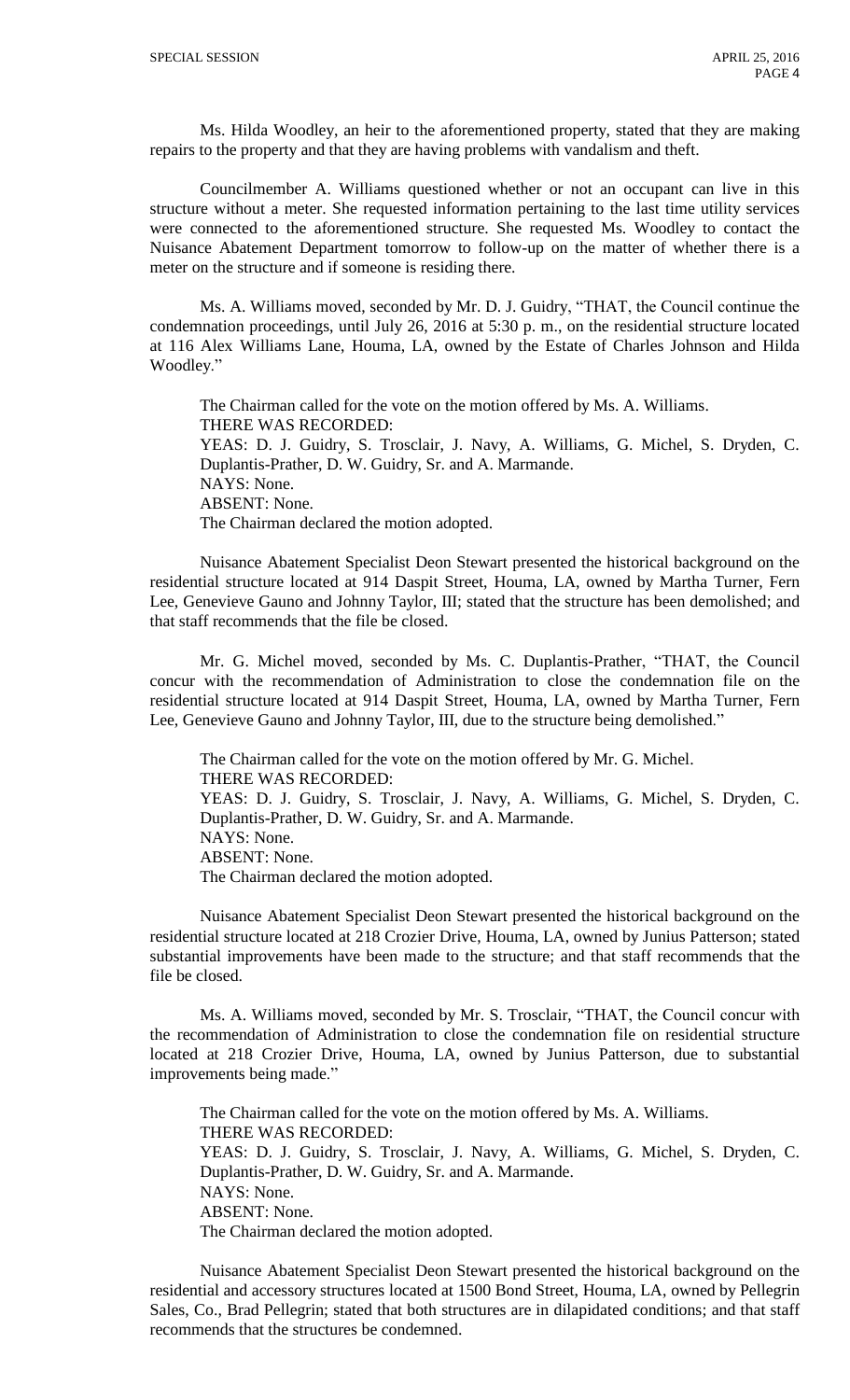Ms. Hilda Woodley, an heir to the aforementioned property, stated that they are making repairs to the property and that they are having problems with vandalism and theft.

Councilmember A. Williams questioned whether or not an occupant can live in this structure without a meter. She requested information pertaining to the last time utility services were connected to the aforementioned structure. She requested Ms. Woodley to contact the Nuisance Abatement Department tomorrow to follow-up on the matter of whether there is a meter on the structure and if someone is residing there.

Ms. A. Williams moved, seconded by Mr. D. J. Guidry, "THAT, the Council continue the condemnation proceedings, until July 26, 2016 at 5:30 p. m., on the residential structure located at 116 Alex Williams Lane, Houma, LA, owned by the Estate of Charles Johnson and Hilda Woodley."

The Chairman called for the vote on the motion offered by Ms. A. Williams. THERE WAS RECORDED: YEAS: D. J. Guidry, S. Trosclair, J. Navy, A. Williams, G. Michel, S. Dryden, C. Duplantis-Prather, D. W. Guidry, Sr. and A. Marmande. NAYS: None. ABSENT: None. The Chairman declared the motion adopted.

Nuisance Abatement Specialist Deon Stewart presented the historical background on the residential structure located at 914 Daspit Street, Houma, LA, owned by Martha Turner, Fern Lee, Genevieve Gauno and Johnny Taylor, III; stated that the structure has been demolished; and that staff recommends that the file be closed.

Mr. G. Michel moved, seconded by Ms. C. Duplantis-Prather, "THAT, the Council concur with the recommendation of Administration to close the condemnation file on the residential structure located at 914 Daspit Street, Houma, LA, owned by Martha Turner, Fern Lee, Genevieve Gauno and Johnny Taylor, III, due to the structure being demolished."

The Chairman called for the vote on the motion offered by Mr. G. Michel. THERE WAS RECORDED: YEAS: D. J. Guidry, S. Trosclair, J. Navy, A. Williams, G. Michel, S. Dryden, C. Duplantis-Prather, D. W. Guidry, Sr. and A. Marmande. NAYS: None. ABSENT: None. The Chairman declared the motion adopted.

Nuisance Abatement Specialist Deon Stewart presented the historical background on the residential structure located at 218 Crozier Drive, Houma, LA, owned by Junius Patterson; stated substantial improvements have been made to the structure; and that staff recommends that the file be closed.

Ms. A. Williams moved, seconded by Mr. S. Trosclair, "THAT, the Council concur with the recommendation of Administration to close the condemnation file on residential structure located at 218 Crozier Drive, Houma, LA, owned by Junius Patterson, due to substantial improvements being made."

The Chairman called for the vote on the motion offered by Ms. A. Williams. THERE WAS RECORDED: YEAS: D. J. Guidry, S. Trosclair, J. Navy, A. Williams, G. Michel, S. Dryden, C. Duplantis-Prather, D. W. Guidry, Sr. and A. Marmande. NAYS: None. ABSENT: None. The Chairman declared the motion adopted.

Nuisance Abatement Specialist Deon Stewart presented the historical background on the residential and accessory structures located at 1500 Bond Street, Houma, LA, owned by Pellegrin Sales, Co., Brad Pellegrin; stated that both structures are in dilapidated conditions; and that staff recommends that the structures be condemned.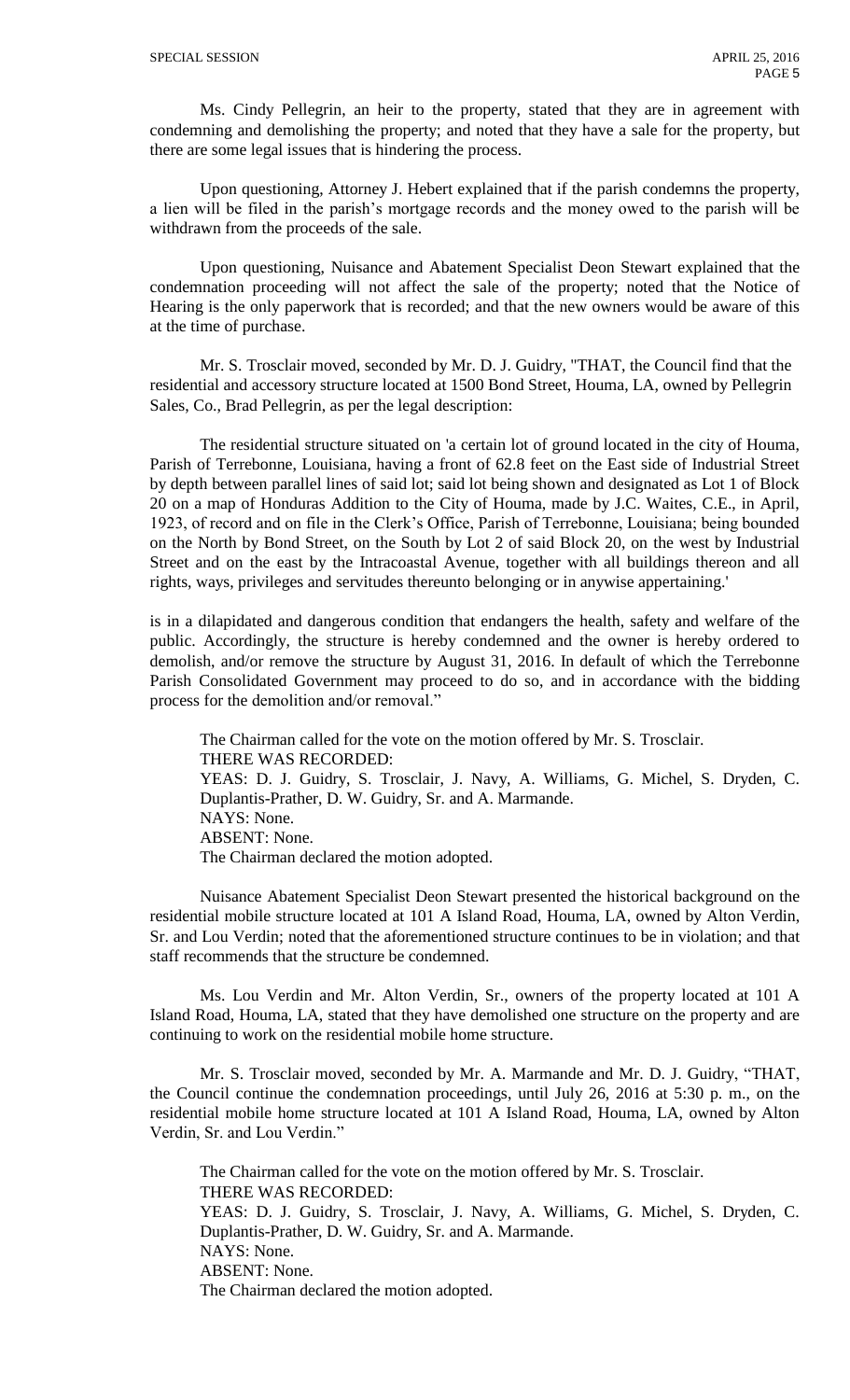Ms. Cindy Pellegrin, an heir to the property, stated that they are in agreement with condemning and demolishing the property; and noted that they have a sale for the property, but there are some legal issues that is hindering the process.

Upon questioning, Attorney J. Hebert explained that if the parish condemns the property, a lien will be filed in the parish's mortgage records and the money owed to the parish will be withdrawn from the proceeds of the sale.

Upon questioning, Nuisance and Abatement Specialist Deon Stewart explained that the condemnation proceeding will not affect the sale of the property; noted that the Notice of Hearing is the only paperwork that is recorded; and that the new owners would be aware of this at the time of purchase.

Mr. S. Trosclair moved, seconded by Mr. D. J. Guidry, "THAT, the Council find that the residential and accessory structure located at 1500 Bond Street, Houma, LA, owned by Pellegrin Sales, Co., Brad Pellegrin, as per the legal description:

The residential structure situated on 'a certain lot of ground located in the city of Houma, Parish of Terrebonne, Louisiana, having a front of 62.8 feet on the East side of Industrial Street by depth between parallel lines of said lot; said lot being shown and designated as Lot 1 of Block 20 on a map of Honduras Addition to the City of Houma, made by J.C. Waites, C.E., in April, 1923, of record and on file in the Clerk's Office, Parish of Terrebonne, Louisiana; being bounded on the North by Bond Street, on the South by Lot 2 of said Block 20, on the west by Industrial Street and on the east by the Intracoastal Avenue, together with all buildings thereon and all rights, ways, privileges and servitudes thereunto belonging or in anywise appertaining.'

is in a dilapidated and dangerous condition that endangers the health, safety and welfare of the public. Accordingly, the structure is hereby condemned and the owner is hereby ordered to demolish, and/or remove the structure by August 31, 2016. In default of which the Terrebonne Parish Consolidated Government may proceed to do so, and in accordance with the bidding process for the demolition and/or removal."

The Chairman called for the vote on the motion offered by Mr. S. Trosclair. THERE WAS RECORDED: YEAS: D. J. Guidry, S. Trosclair, J. Navy, A. Williams, G. Michel, S. Dryden, C. Duplantis-Prather, D. W. Guidry, Sr. and A. Marmande. NAYS: None. ABSENT: None. The Chairman declared the motion adopted.

Nuisance Abatement Specialist Deon Stewart presented the historical background on the residential mobile structure located at 101 A Island Road, Houma, LA, owned by Alton Verdin, Sr. and Lou Verdin; noted that the aforementioned structure continues to be in violation; and that staff recommends that the structure be condemned.

Ms. Lou Verdin and Mr. Alton Verdin, Sr., owners of the property located at 101 A Island Road, Houma, LA, stated that they have demolished one structure on the property and are continuing to work on the residential mobile home structure.

Mr. S. Trosclair moved, seconded by Mr. A. Marmande and Mr. D. J. Guidry, "THAT, the Council continue the condemnation proceedings, until July 26, 2016 at 5:30 p. m., on the residential mobile home structure located at 101 A Island Road, Houma, LA, owned by Alton Verdin, Sr. and Lou Verdin."

The Chairman called for the vote on the motion offered by Mr. S. Trosclair. THERE WAS RECORDED: YEAS: D. J. Guidry, S. Trosclair, J. Navy, A. Williams, G. Michel, S. Dryden, C. Duplantis-Prather, D. W. Guidry, Sr. and A. Marmande. NAYS: None. ABSENT: None. The Chairman declared the motion adopted.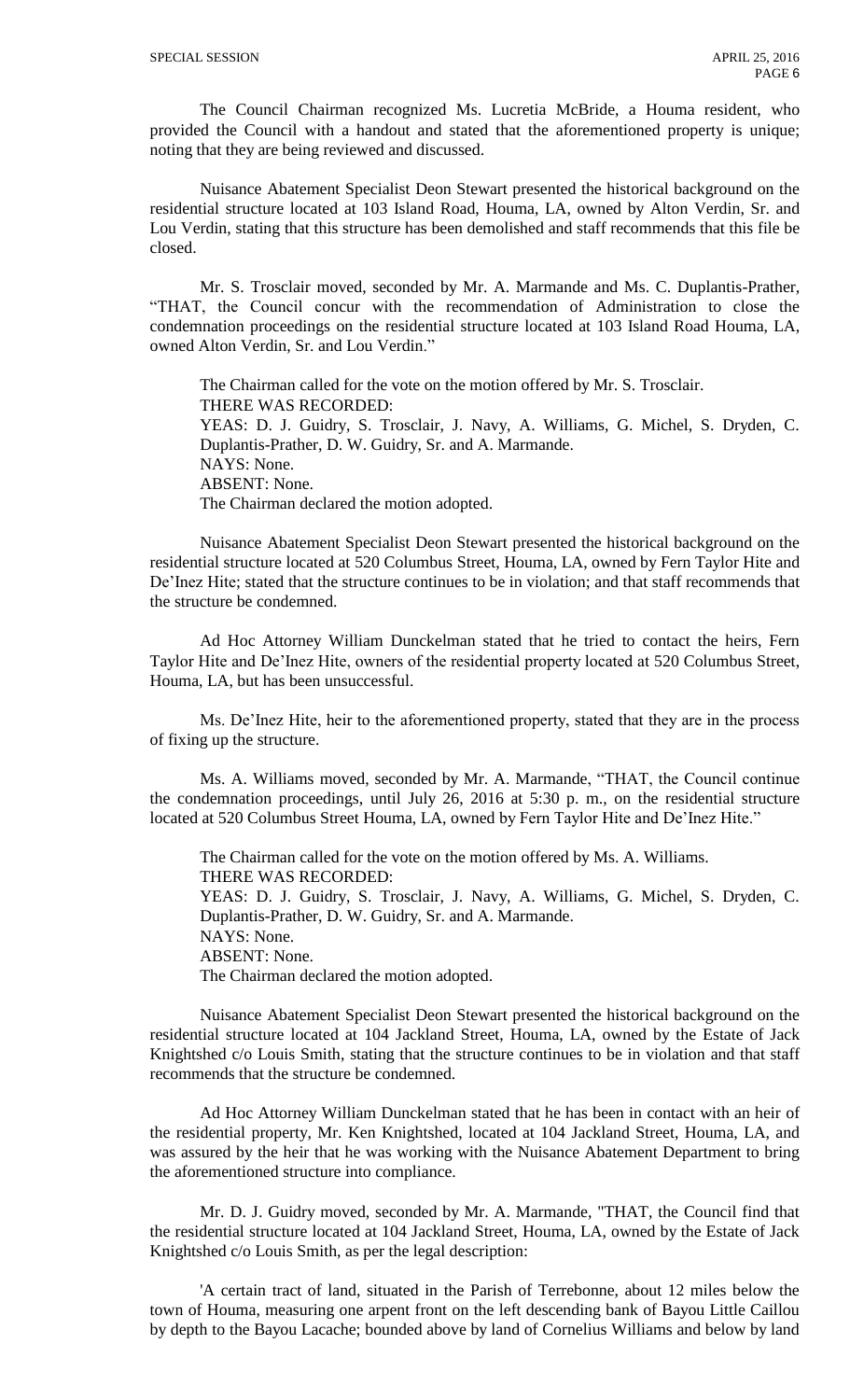The Council Chairman recognized Ms. Lucretia McBride, a Houma resident, who provided the Council with a handout and stated that the aforementioned property is unique; noting that they are being reviewed and discussed.

Nuisance Abatement Specialist Deon Stewart presented the historical background on the residential structure located at 103 Island Road, Houma, LA, owned by Alton Verdin, Sr. and Lou Verdin, stating that this structure has been demolished and staff recommends that this file be closed.

Mr. S. Trosclair moved, seconded by Mr. A. Marmande and Ms. C. Duplantis-Prather, "THAT, the Council concur with the recommendation of Administration to close the condemnation proceedings on the residential structure located at 103 Island Road Houma, LA, owned Alton Verdin, Sr. and Lou Verdin."

The Chairman called for the vote on the motion offered by Mr. S. Trosclair. THERE WAS RECORDED: YEAS: D. J. Guidry, S. Trosclair, J. Navy, A. Williams, G. Michel, S. Dryden, C. Duplantis-Prather, D. W. Guidry, Sr. and A. Marmande. NAYS: None. ABSENT: None. The Chairman declared the motion adopted.

Nuisance Abatement Specialist Deon Stewart presented the historical background on the residential structure located at 520 Columbus Street, Houma, LA, owned by Fern Taylor Hite and De'Inez Hite; stated that the structure continues to be in violation; and that staff recommends that the structure be condemned.

Ad Hoc Attorney William Dunckelman stated that he tried to contact the heirs, Fern Taylor Hite and De'Inez Hite, owners of the residential property located at 520 Columbus Street, Houma, LA, but has been unsuccessful.

Ms. De'Inez Hite, heir to the aforementioned property, stated that they are in the process of fixing up the structure.

Ms. A. Williams moved, seconded by Mr. A. Marmande, "THAT, the Council continue the condemnation proceedings, until July 26, 2016 at 5:30 p. m., on the residential structure located at 520 Columbus Street Houma, LA, owned by Fern Taylor Hite and De'Inez Hite."

The Chairman called for the vote on the motion offered by Ms. A. Williams. THERE WAS RECORDED: YEAS: D. J. Guidry, S. Trosclair, J. Navy, A. Williams, G. Michel, S. Dryden, C. Duplantis-Prather, D. W. Guidry, Sr. and A. Marmande. NAYS: None. ABSENT: None. The Chairman declared the motion adopted.

Nuisance Abatement Specialist Deon Stewart presented the historical background on the residential structure located at 104 Jackland Street, Houma, LA, owned by the Estate of Jack Knightshed c/o Louis Smith, stating that the structure continues to be in violation and that staff recommends that the structure be condemned.

Ad Hoc Attorney William Dunckelman stated that he has been in contact with an heir of the residential property, Mr. Ken Knightshed, located at 104 Jackland Street, Houma, LA, and was assured by the heir that he was working with the Nuisance Abatement Department to bring the aforementioned structure into compliance.

Mr. D. J. Guidry moved, seconded by Mr. A. Marmande, "THAT, the Council find that the residential structure located at 104 Jackland Street, Houma, LA, owned by the Estate of Jack Knightshed c/o Louis Smith, as per the legal description:

'A certain tract of land, situated in the Parish of Terrebonne, about 12 miles below the town of Houma, measuring one arpent front on the left descending bank of Bayou Little Caillou by depth to the Bayou Lacache; bounded above by land of Cornelius Williams and below by land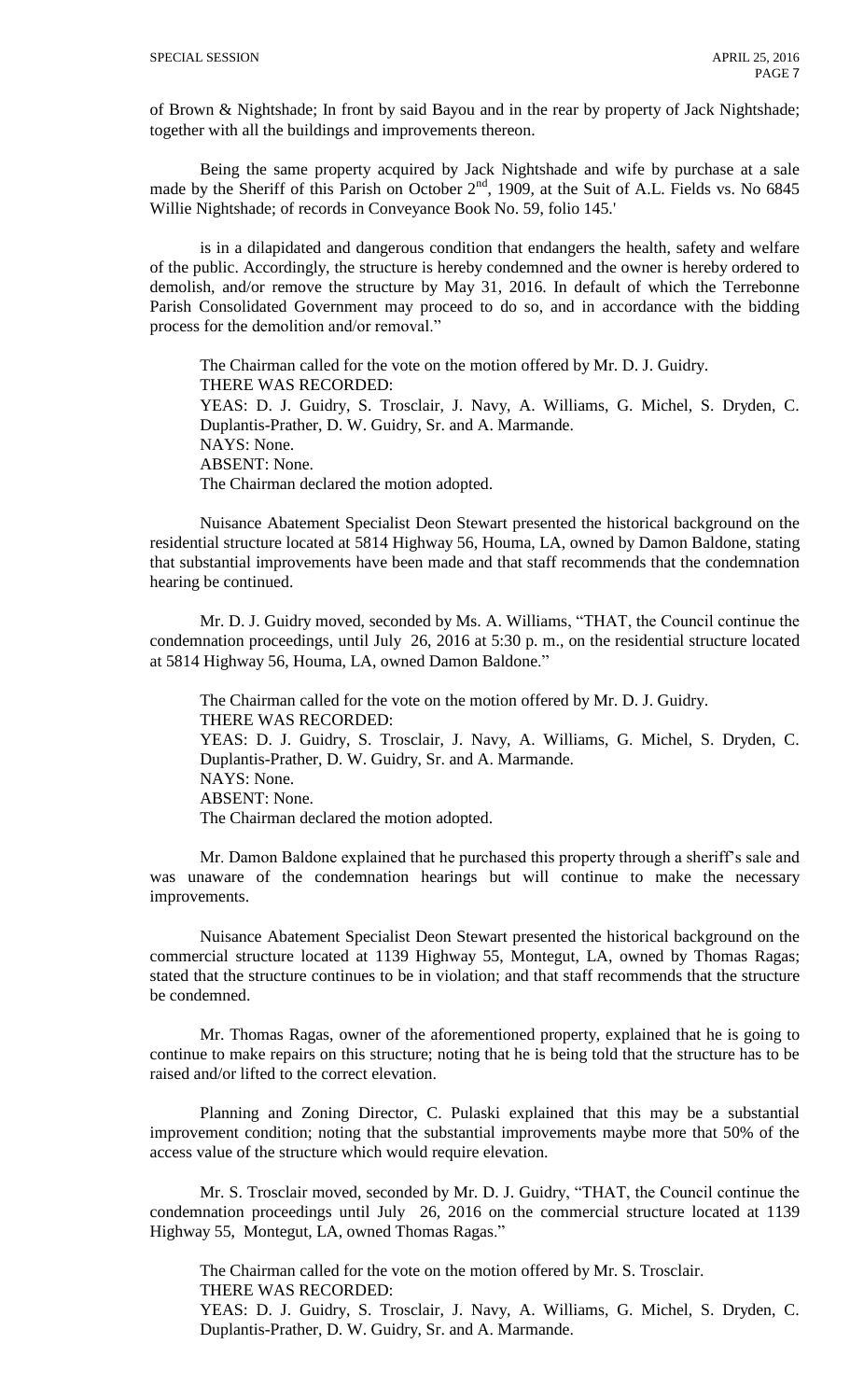of Brown & Nightshade; In front by said Bayou and in the rear by property of Jack Nightshade; together with all the buildings and improvements thereon.

Being the same property acquired by Jack Nightshade and wife by purchase at a sale made by the Sheriff of this Parish on October 2<sup>nd</sup>, 1909, at the Suit of A.L. Fields vs. No 6845 Willie Nightshade; of records in Conveyance Book No. 59, folio 145.'

is in a dilapidated and dangerous condition that endangers the health, safety and welfare of the public. Accordingly, the structure is hereby condemned and the owner is hereby ordered to demolish, and/or remove the structure by May 31, 2016. In default of which the Terrebonne Parish Consolidated Government may proceed to do so, and in accordance with the bidding process for the demolition and/or removal."

The Chairman called for the vote on the motion offered by Mr. D. J. Guidry. THERE WAS RECORDED: YEAS: D. J. Guidry, S. Trosclair, J. Navy, A. Williams, G. Michel, S. Dryden, C. Duplantis-Prather, D. W. Guidry, Sr. and A. Marmande. NAYS: None. ABSENT: None. The Chairman declared the motion adopted.

Nuisance Abatement Specialist Deon Stewart presented the historical background on the residential structure located at 5814 Highway 56, Houma, LA, owned by Damon Baldone, stating that substantial improvements have been made and that staff recommends that the condemnation hearing be continued.

Mr. D. J. Guidry moved, seconded by Ms. A. Williams, "THAT, the Council continue the condemnation proceedings, until July 26, 2016 at 5:30 p. m., on the residential structure located at 5814 Highway 56, Houma, LA, owned Damon Baldone."

The Chairman called for the vote on the motion offered by Mr. D. J. Guidry. THERE WAS RECORDED: YEAS: D. J. Guidry, S. Trosclair, J. Navy, A. Williams, G. Michel, S. Dryden, C. Duplantis-Prather, D. W. Guidry, Sr. and A. Marmande. NAYS: None. ABSENT: None. The Chairman declared the motion adopted.

Mr. Damon Baldone explained that he purchased this property through a sheriff's sale and was unaware of the condemnation hearings but will continue to make the necessary improvements.

Nuisance Abatement Specialist Deon Stewart presented the historical background on the commercial structure located at 1139 Highway 55, Montegut, LA, owned by Thomas Ragas; stated that the structure continues to be in violation; and that staff recommends that the structure be condemned.

Mr. Thomas Ragas, owner of the aforementioned property, explained that he is going to continue to make repairs on this structure; noting that he is being told that the structure has to be raised and/or lifted to the correct elevation.

Planning and Zoning Director, C. Pulaski explained that this may be a substantial improvement condition; noting that the substantial improvements maybe more that 50% of the access value of the structure which would require elevation.

Mr. S. Trosclair moved, seconded by Mr. D. J. Guidry, "THAT, the Council continue the condemnation proceedings until July 26, 2016 on the commercial structure located at 1139 Highway 55, Montegut, LA, owned Thomas Ragas."

The Chairman called for the vote on the motion offered by Mr. S. Trosclair. THERE WAS RECORDED:

YEAS: D. J. Guidry, S. Trosclair, J. Navy, A. Williams, G. Michel, S. Dryden, C. Duplantis-Prather, D. W. Guidry, Sr. and A. Marmande.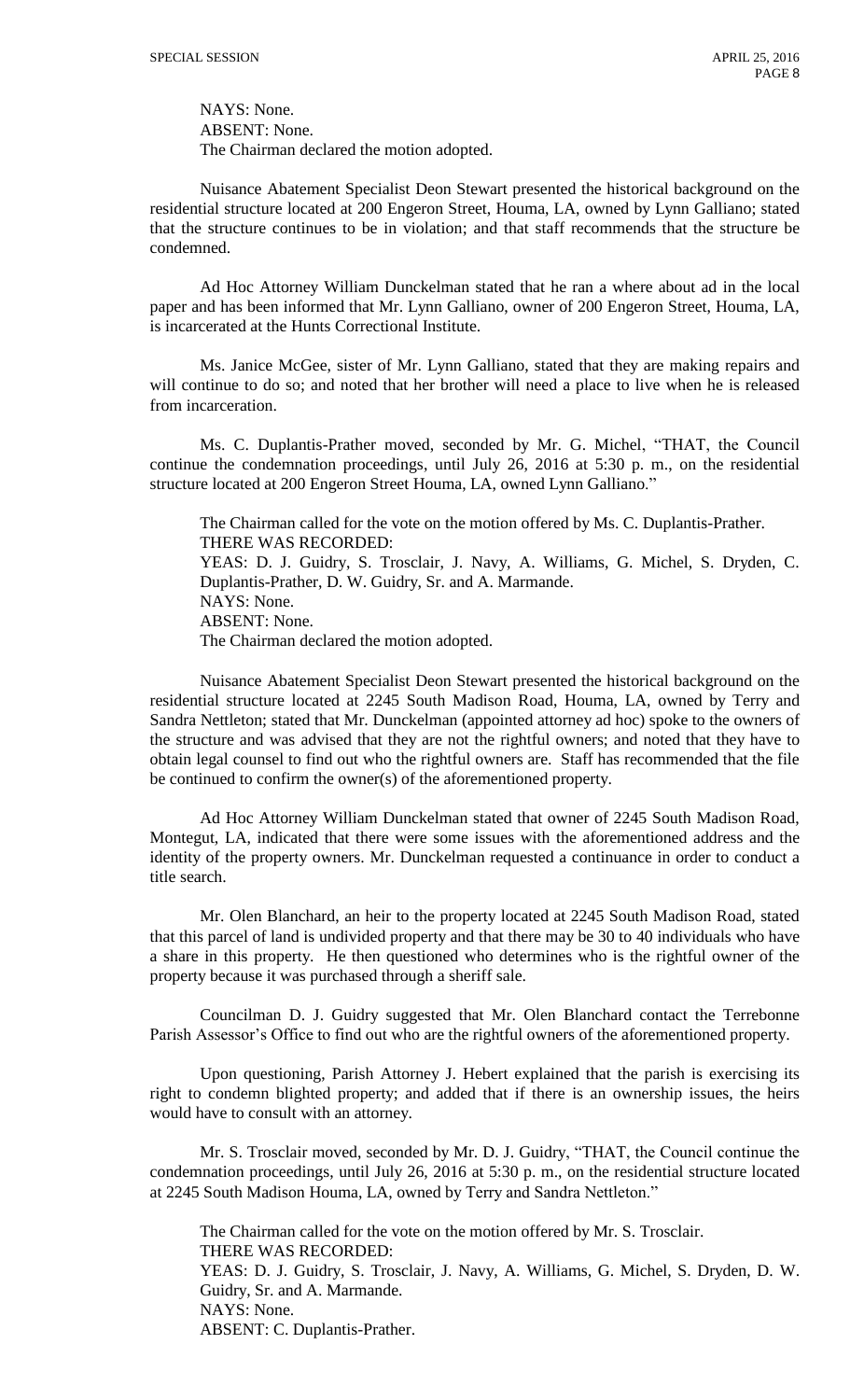NAYS: None. ABSENT: None. The Chairman declared the motion adopted.

Nuisance Abatement Specialist Deon Stewart presented the historical background on the residential structure located at 200 Engeron Street, Houma, LA, owned by Lynn Galliano; stated that the structure continues to be in violation; and that staff recommends that the structure be condemned.

Ad Hoc Attorney William Dunckelman stated that he ran a where about ad in the local paper and has been informed that Mr. Lynn Galliano, owner of 200 Engeron Street, Houma, LA, is incarcerated at the Hunts Correctional Institute.

Ms. Janice McGee, sister of Mr. Lynn Galliano, stated that they are making repairs and will continue to do so; and noted that her brother will need a place to live when he is released from incarceration.

Ms. C. Duplantis-Prather moved, seconded by Mr. G. Michel, "THAT, the Council continue the condemnation proceedings, until July 26, 2016 at 5:30 p. m., on the residential structure located at 200 Engeron Street Houma, LA, owned Lynn Galliano."

The Chairman called for the vote on the motion offered by Ms. C. Duplantis-Prather. THERE WAS RECORDED: YEAS: D. J. Guidry, S. Trosclair, J. Navy, A. Williams, G. Michel, S. Dryden, C. Duplantis-Prather, D. W. Guidry, Sr. and A. Marmande.

NAYS: None.

ABSENT: None.

The Chairman declared the motion adopted.

Nuisance Abatement Specialist Deon Stewart presented the historical background on the residential structure located at 2245 South Madison Road, Houma, LA, owned by Terry and Sandra Nettleton; stated that Mr. Dunckelman (appointed attorney ad hoc) spoke to the owners of the structure and was advised that they are not the rightful owners; and noted that they have to obtain legal counsel to find out who the rightful owners are. Staff has recommended that the file be continued to confirm the owner(s) of the aforementioned property.

Ad Hoc Attorney William Dunckelman stated that owner of 2245 South Madison Road, Montegut, LA, indicated that there were some issues with the aforementioned address and the identity of the property owners. Mr. Dunckelman requested a continuance in order to conduct a title search.

Mr. Olen Blanchard, an heir to the property located at 2245 South Madison Road, stated that this parcel of land is undivided property and that there may be 30 to 40 individuals who have a share in this property. He then questioned who determines who is the rightful owner of the property because it was purchased through a sheriff sale.

Councilman D. J. Guidry suggested that Mr. Olen Blanchard contact the Terrebonne Parish Assessor's Office to find out who are the rightful owners of the aforementioned property.

Upon questioning, Parish Attorney J. Hebert explained that the parish is exercising its right to condemn blighted property; and added that if there is an ownership issues, the heirs would have to consult with an attorney.

Mr. S. Trosclair moved, seconded by Mr. D. J. Guidry, "THAT, the Council continue the condemnation proceedings, until July 26, 2016 at 5:30 p. m., on the residential structure located at 2245 South Madison Houma, LA, owned by Terry and Sandra Nettleton."

The Chairman called for the vote on the motion offered by Mr. S. Trosclair. THERE WAS RECORDED: YEAS: D. J. Guidry, S. Trosclair, J. Navy, A. Williams, G. Michel, S. Dryden, D. W. Guidry, Sr. and A. Marmande. NAYS: None. ABSENT: C. Duplantis-Prather.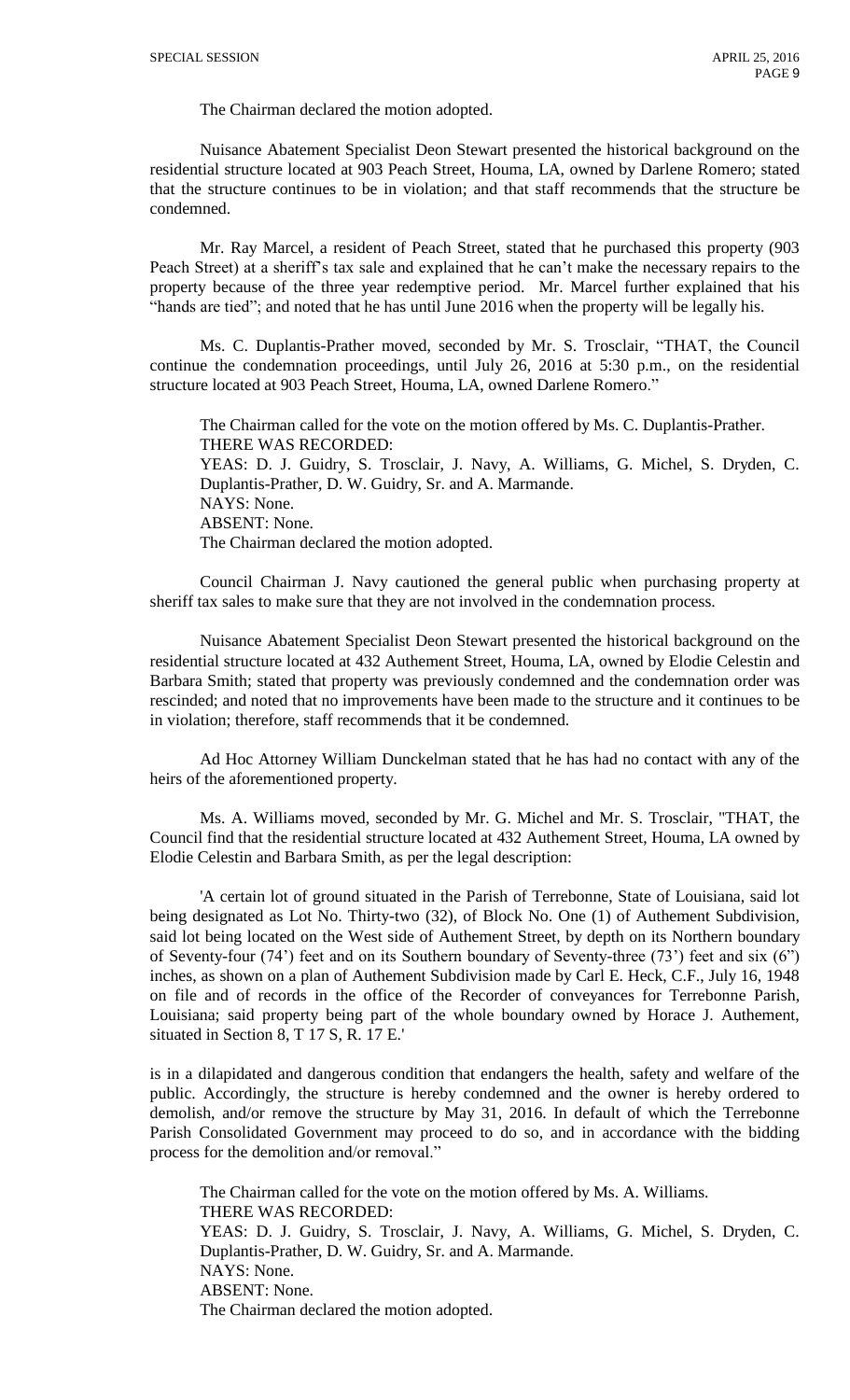The Chairman declared the motion adopted.

Nuisance Abatement Specialist Deon Stewart presented the historical background on the residential structure located at 903 Peach Street, Houma, LA, owned by Darlene Romero; stated that the structure continues to be in violation; and that staff recommends that the structure be condemned.

Mr. Ray Marcel, a resident of Peach Street, stated that he purchased this property (903 Peach Street) at a sheriff's tax sale and explained that he can't make the necessary repairs to the property because of the three year redemptive period. Mr. Marcel further explained that his "hands are tied"; and noted that he has until June 2016 when the property will be legally his.

Ms. C. Duplantis-Prather moved, seconded by Mr. S. Trosclair, "THAT, the Council continue the condemnation proceedings, until July 26, 2016 at 5:30 p.m., on the residential structure located at 903 Peach Street, Houma, LA, owned Darlene Romero."

The Chairman called for the vote on the motion offered by Ms. C. Duplantis-Prather. THERE WAS RECORDED: YEAS: D. J. Guidry, S. Trosclair, J. Navy, A. Williams, G. Michel, S. Dryden, C. Duplantis-Prather, D. W. Guidry, Sr. and A. Marmande. NAYS: None. ABSENT: None. The Chairman declared the motion adopted.

Council Chairman J. Navy cautioned the general public when purchasing property at sheriff tax sales to make sure that they are not involved in the condemnation process.

Nuisance Abatement Specialist Deon Stewart presented the historical background on the residential structure located at 432 Authement Street, Houma, LA, owned by Elodie Celestin and Barbara Smith; stated that property was previously condemned and the condemnation order was rescinded; and noted that no improvements have been made to the structure and it continues to be in violation; therefore, staff recommends that it be condemned.

Ad Hoc Attorney William Dunckelman stated that he has had no contact with any of the heirs of the aforementioned property.

Ms. A. Williams moved, seconded by Mr. G. Michel and Mr. S. Trosclair, "THAT, the Council find that the residential structure located at 432 Authement Street, Houma, LA owned by Elodie Celestin and Barbara Smith, as per the legal description:

'A certain lot of ground situated in the Parish of Terrebonne, State of Louisiana, said lot being designated as Lot No. Thirty-two (32), of Block No. One (1) of Authement Subdivision, said lot being located on the West side of Authement Street, by depth on its Northern boundary of Seventy-four (74') feet and on its Southern boundary of Seventy-three (73') feet and six (6") inches, as shown on a plan of Authement Subdivision made by Carl E. Heck, C.F., July 16, 1948 on file and of records in the office of the Recorder of conveyances for Terrebonne Parish, Louisiana; said property being part of the whole boundary owned by Horace J. Authement, situated in Section 8, T 17 S, R. 17 E.'

is in a dilapidated and dangerous condition that endangers the health, safety and welfare of the public. Accordingly, the structure is hereby condemned and the owner is hereby ordered to demolish, and/or remove the structure by May 31, 2016. In default of which the Terrebonne Parish Consolidated Government may proceed to do so, and in accordance with the bidding process for the demolition and/or removal."

The Chairman called for the vote on the motion offered by Ms. A. Williams. THERE WAS RECORDED: YEAS: D. J. Guidry, S. Trosclair, J. Navy, A. Williams, G. Michel, S. Dryden, C. Duplantis-Prather, D. W. Guidry, Sr. and A. Marmande. NAYS: None. ABSENT: None. The Chairman declared the motion adopted.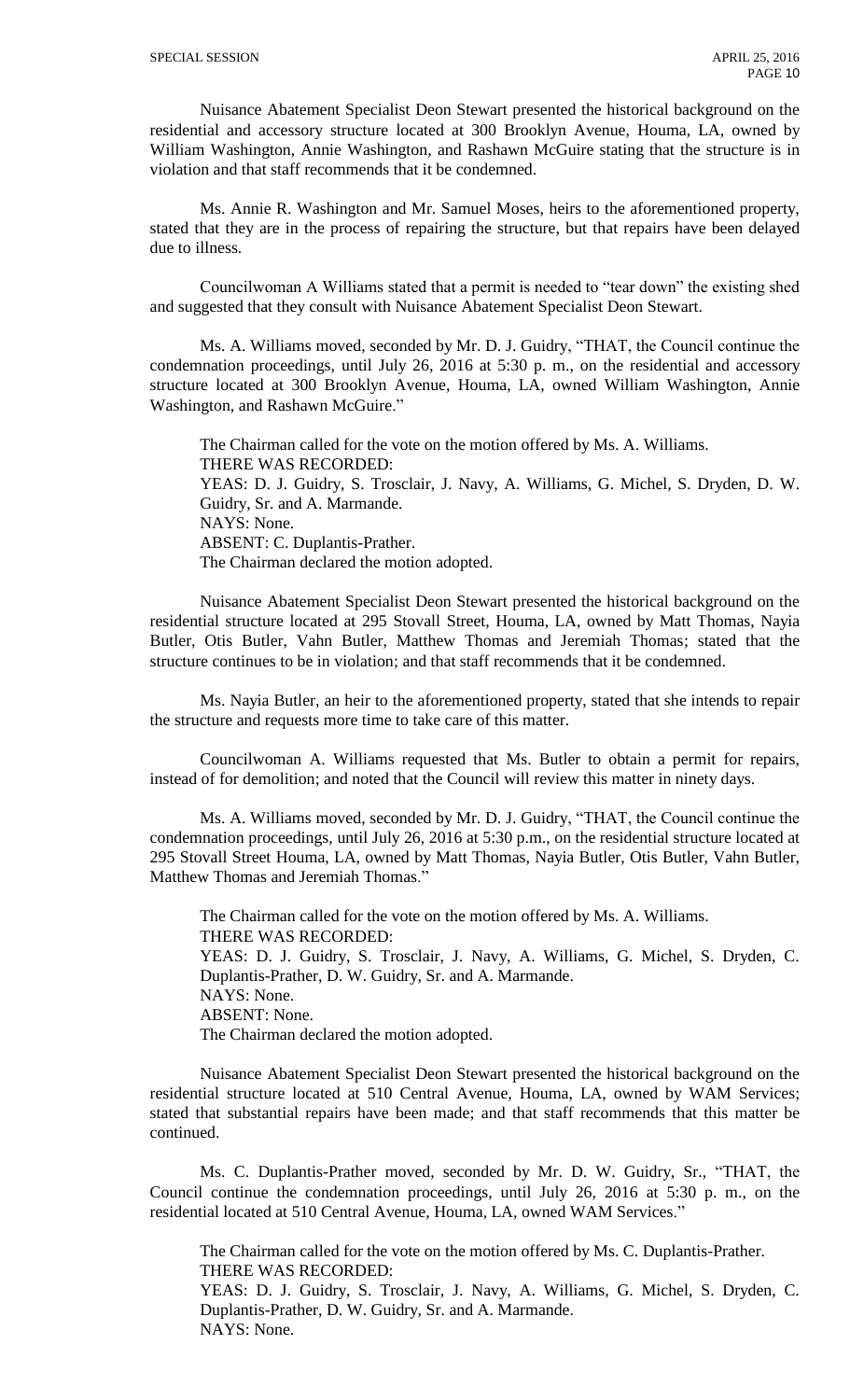Nuisance Abatement Specialist Deon Stewart presented the historical background on the residential and accessory structure located at 300 Brooklyn Avenue, Houma, LA, owned by William Washington, Annie Washington, and Rashawn McGuire stating that the structure is in violation and that staff recommends that it be condemned.

Ms. Annie R. Washington and Mr. Samuel Moses, heirs to the aforementioned property, stated that they are in the process of repairing the structure, but that repairs have been delayed due to illness.

Councilwoman A Williams stated that a permit is needed to "tear down" the existing shed and suggested that they consult with Nuisance Abatement Specialist Deon Stewart.

Ms. A. Williams moved, seconded by Mr. D. J. Guidry, "THAT, the Council continue the condemnation proceedings, until July 26, 2016 at 5:30 p. m., on the residential and accessory structure located at 300 Brooklyn Avenue, Houma, LA, owned William Washington, Annie Washington, and Rashawn McGuire."

The Chairman called for the vote on the motion offered by Ms. A. Williams. THERE WAS RECORDED: YEAS: D. J. Guidry, S. Trosclair, J. Navy, A. Williams, G. Michel, S. Dryden, D. W. Guidry, Sr. and A. Marmande. NAYS: None. ABSENT: C. Duplantis-Prather. The Chairman declared the motion adopted.

Nuisance Abatement Specialist Deon Stewart presented the historical background on the residential structure located at 295 Stovall Street, Houma, LA, owned by Matt Thomas, Nayia Butler, Otis Butler, Vahn Butler, Matthew Thomas and Jeremiah Thomas; stated that the structure continues to be in violation; and that staff recommends that it be condemned.

Ms. Nayia Butler, an heir to the aforementioned property, stated that she intends to repair the structure and requests more time to take care of this matter.

Councilwoman A. Williams requested that Ms. Butler to obtain a permit for repairs, instead of for demolition; and noted that the Council will review this matter in ninety days.

Ms. A. Williams moved, seconded by Mr. D. J. Guidry, "THAT, the Council continue the condemnation proceedings, until July 26, 2016 at 5:30 p.m., on the residential structure located at 295 Stovall Street Houma, LA, owned by Matt Thomas, Nayia Butler, Otis Butler, Vahn Butler, Matthew Thomas and Jeremiah Thomas.'

The Chairman called for the vote on the motion offered by Ms. A. Williams. THERE WAS RECORDED: YEAS: D. J. Guidry, S. Trosclair, J. Navy, A. Williams, G. Michel, S. Dryden, C. Duplantis-Prather, D. W. Guidry, Sr. and A. Marmande. NAYS: None. ABSENT: None. The Chairman declared the motion adopted.

Nuisance Abatement Specialist Deon Stewart presented the historical background on the residential structure located at 510 Central Avenue, Houma, LA, owned by WAM Services; stated that substantial repairs have been made; and that staff recommends that this matter be continued.

Ms. C. Duplantis-Prather moved, seconded by Mr. D. W. Guidry, Sr., "THAT, the Council continue the condemnation proceedings, until July 26, 2016 at 5:30 p. m., on the residential located at 510 Central Avenue, Houma, LA, owned WAM Services."

The Chairman called for the vote on the motion offered by Ms. C. Duplantis-Prather. THERE WAS RECORDED: YEAS: D. J. Guidry, S. Trosclair, J. Navy, A. Williams, G. Michel, S. Dryden, C. Duplantis-Prather, D. W. Guidry, Sr. and A. Marmande. NAYS: None.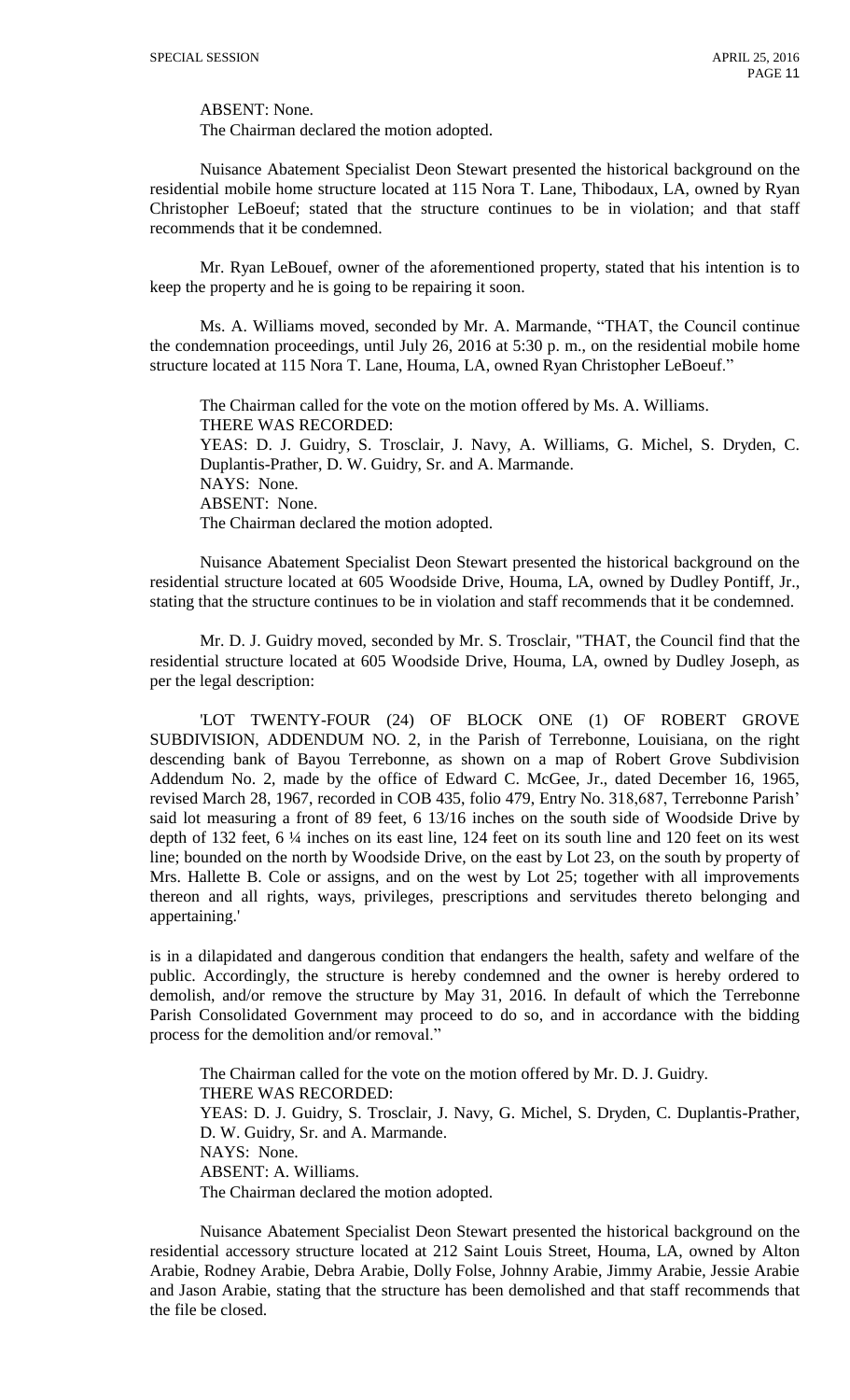ABSENT: None.

The Chairman declared the motion adopted.

Nuisance Abatement Specialist Deon Stewart presented the historical background on the residential mobile home structure located at 115 Nora T. Lane, Thibodaux, LA, owned by Ryan Christopher LeBoeuf; stated that the structure continues to be in violation; and that staff recommends that it be condemned.

Mr. Ryan LeBouef, owner of the aforementioned property, stated that his intention is to keep the property and he is going to be repairing it soon.

Ms. A. Williams moved, seconded by Mr. A. Marmande, "THAT, the Council continue the condemnation proceedings, until July 26, 2016 at 5:30 p. m., on the residential mobile home structure located at 115 Nora T. Lane, Houma, LA, owned Ryan Christopher LeBoeuf."

The Chairman called for the vote on the motion offered by Ms. A. Williams. THERE WAS RECORDED: YEAS: D. J. Guidry, S. Trosclair, J. Navy, A. Williams, G. Michel, S. Dryden, C. Duplantis-Prather, D. W. Guidry, Sr. and A. Marmande. NAYS: None. ABSENT: None. The Chairman declared the motion adopted.

Nuisance Abatement Specialist Deon Stewart presented the historical background on the residential structure located at 605 Woodside Drive, Houma, LA, owned by Dudley Pontiff, Jr., stating that the structure continues to be in violation and staff recommends that it be condemned.

Mr. D. J. Guidry moved, seconded by Mr. S. Trosclair, "THAT, the Council find that the residential structure located at 605 Woodside Drive, Houma, LA, owned by Dudley Joseph, as per the legal description:

'LOT TWENTY-FOUR (24) OF BLOCK ONE (1) OF ROBERT GROVE SUBDIVISION, ADDENDUM NO. 2, in the Parish of Terrebonne, Louisiana, on the right descending bank of Bayou Terrebonne, as shown on a map of Robert Grove Subdivision Addendum No. 2, made by the office of Edward C. McGee, Jr., dated December 16, 1965, revised March 28, 1967, recorded in COB 435, folio 479, Entry No. 318,687, Terrebonne Parish' said lot measuring a front of 89 feet, 6 13/16 inches on the south side of Woodside Drive by depth of 132 feet, 6 ¼ inches on its east line, 124 feet on its south line and 120 feet on its west line; bounded on the north by Woodside Drive, on the east by Lot 23, on the south by property of Mrs. Hallette B. Cole or assigns, and on the west by Lot 25; together with all improvements thereon and all rights, ways, privileges, prescriptions and servitudes thereto belonging and appertaining.'

is in a dilapidated and dangerous condition that endangers the health, safety and welfare of the public. Accordingly, the structure is hereby condemned and the owner is hereby ordered to demolish, and/or remove the structure by May 31, 2016. In default of which the Terrebonne Parish Consolidated Government may proceed to do so, and in accordance with the bidding process for the demolition and/or removal."

The Chairman called for the vote on the motion offered by Mr. D. J. Guidry. THERE WAS RECORDED: YEAS: D. J. Guidry, S. Trosclair, J. Navy, G. Michel, S. Dryden, C. Duplantis-Prather, D. W. Guidry, Sr. and A. Marmande. NAYS: None. ABSENT: A. Williams. The Chairman declared the motion adopted.

Nuisance Abatement Specialist Deon Stewart presented the historical background on the residential accessory structure located at 212 Saint Louis Street, Houma, LA, owned by Alton Arabie, Rodney Arabie, Debra Arabie, Dolly Folse, Johnny Arabie, Jimmy Arabie, Jessie Arabie and Jason Arabie, stating that the structure has been demolished and that staff recommends that the file be closed.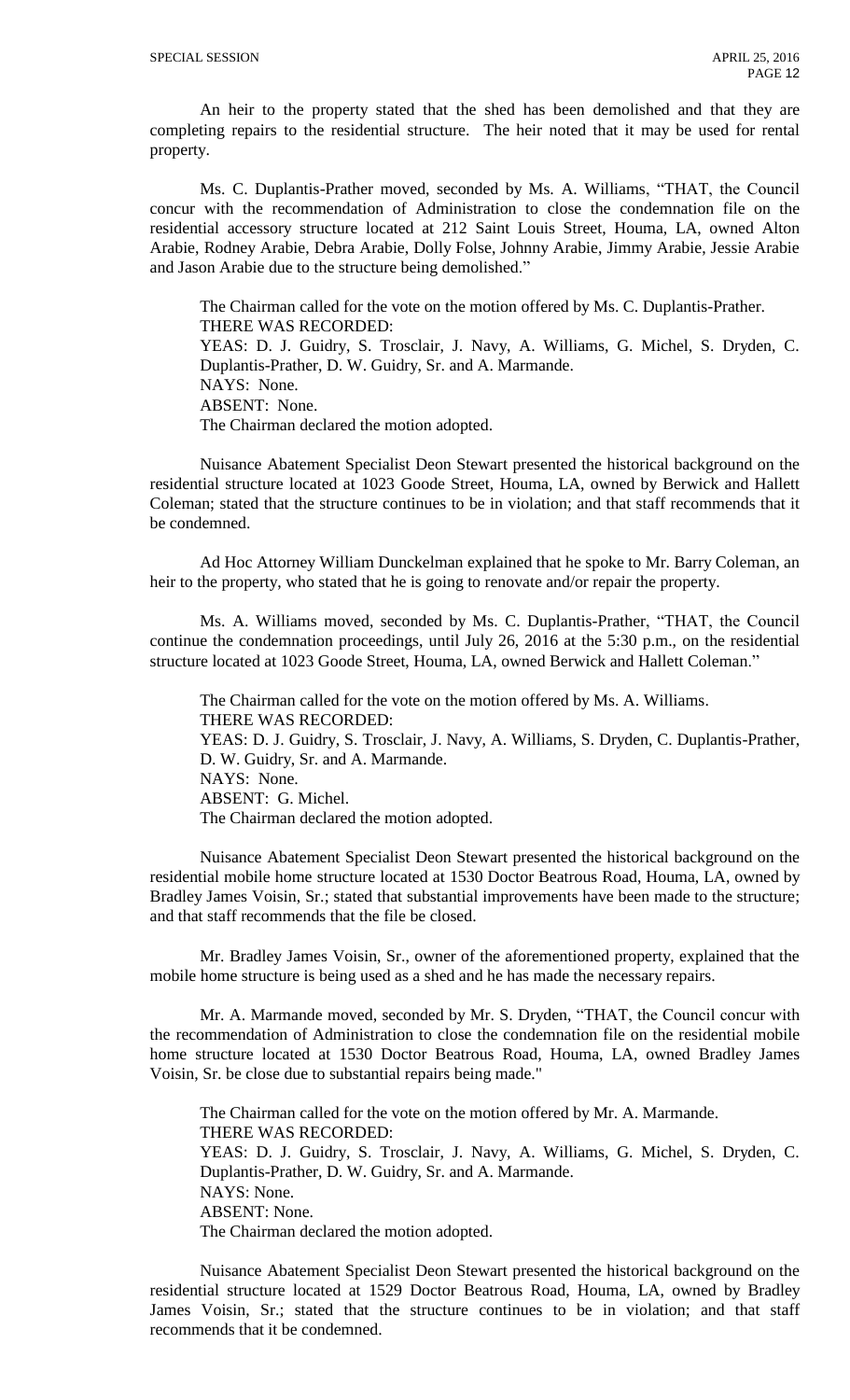An heir to the property stated that the shed has been demolished and that they are completing repairs to the residential structure. The heir noted that it may be used for rental property.

Ms. C. Duplantis-Prather moved, seconded by Ms. A. Williams, "THAT, the Council concur with the recommendation of Administration to close the condemnation file on the residential accessory structure located at 212 Saint Louis Street, Houma, LA, owned Alton Arabie, Rodney Arabie, Debra Arabie, Dolly Folse, Johnny Arabie, Jimmy Arabie, Jessie Arabie and Jason Arabie due to the structure being demolished."

The Chairman called for the vote on the motion offered by Ms. C. Duplantis-Prather. THERE WAS RECORDED:

YEAS: D. J. Guidry, S. Trosclair, J. Navy, A. Williams, G. Michel, S. Dryden, C. Duplantis-Prather, D. W. Guidry, Sr. and A. Marmande. NAYS: None. ABSENT: None. The Chairman declared the motion adopted.

Nuisance Abatement Specialist Deon Stewart presented the historical background on the residential structure located at 1023 Goode Street, Houma, LA, owned by Berwick and Hallett Coleman; stated that the structure continues to be in violation; and that staff recommends that it be condemned.

Ad Hoc Attorney William Dunckelman explained that he spoke to Mr. Barry Coleman, an heir to the property, who stated that he is going to renovate and/or repair the property.

Ms. A. Williams moved, seconded by Ms. C. Duplantis-Prather, "THAT, the Council continue the condemnation proceedings, until July 26, 2016 at the 5:30 p.m., on the residential structure located at 1023 Goode Street, Houma, LA, owned Berwick and Hallett Coleman."

The Chairman called for the vote on the motion offered by Ms. A. Williams. THERE WAS RECORDED: YEAS: D. J. Guidry, S. Trosclair, J. Navy, A. Williams, S. Dryden, C. Duplantis-Prather, D. W. Guidry, Sr. and A. Marmande. NAYS: None. ABSENT: G. Michel. The Chairman declared the motion adopted.

Nuisance Abatement Specialist Deon Stewart presented the historical background on the residential mobile home structure located at 1530 Doctor Beatrous Road, Houma, LA, owned by Bradley James Voisin, Sr.; stated that substantial improvements have been made to the structure; and that staff recommends that the file be closed.

Mr. Bradley James Voisin, Sr., owner of the aforementioned property, explained that the mobile home structure is being used as a shed and he has made the necessary repairs.

Mr. A. Marmande moved, seconded by Mr. S. Dryden, "THAT, the Council concur with the recommendation of Administration to close the condemnation file on the residential mobile home structure located at 1530 Doctor Beatrous Road, Houma, LA, owned Bradley James Voisin, Sr. be close due to substantial repairs being made."

The Chairman called for the vote on the motion offered by Mr. A. Marmande. THERE WAS RECORDED: YEAS: D. J. Guidry, S. Trosclair, J. Navy, A. Williams, G. Michel, S. Dryden, C. Duplantis-Prather, D. W. Guidry, Sr. and A. Marmande. NAYS: None. ABSENT: None. The Chairman declared the motion adopted.

Nuisance Abatement Specialist Deon Stewart presented the historical background on the residential structure located at 1529 Doctor Beatrous Road, Houma, LA, owned by Bradley James Voisin, Sr.; stated that the structure continues to be in violation; and that staff recommends that it be condemned.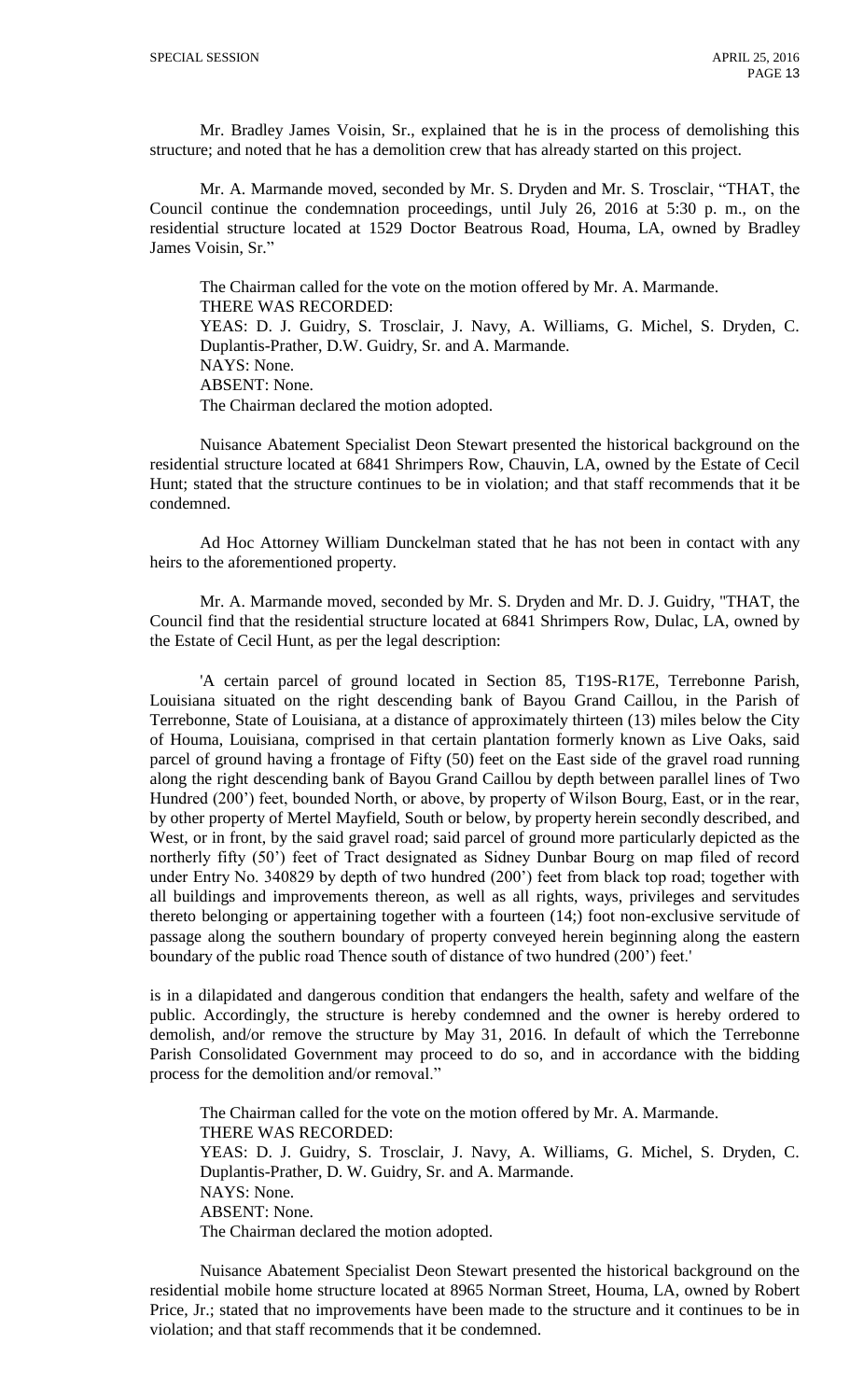Mr. Bradley James Voisin, Sr., explained that he is in the process of demolishing this structure; and noted that he has a demolition crew that has already started on this project.

Mr. A. Marmande moved, seconded by Mr. S. Dryden and Mr. S. Trosclair, "THAT, the Council continue the condemnation proceedings, until July 26, 2016 at 5:30 p. m., on the residential structure located at 1529 Doctor Beatrous Road, Houma, LA, owned by Bradley James Voisin, Sr."

The Chairman called for the vote on the motion offered by Mr. A. Marmande. THERE WAS RECORDED: YEAS: D. J. Guidry, S. Trosclair, J. Navy, A. Williams, G. Michel, S. Dryden, C. Duplantis-Prather, D.W. Guidry, Sr. and A. Marmande. NAYS: None. ABSENT: None. The Chairman declared the motion adopted.

Nuisance Abatement Specialist Deon Stewart presented the historical background on the residential structure located at 6841 Shrimpers Row, Chauvin, LA, owned by the Estate of Cecil Hunt; stated that the structure continues to be in violation; and that staff recommends that it be condemned.

Ad Hoc Attorney William Dunckelman stated that he has not been in contact with any heirs to the aforementioned property.

Mr. A. Marmande moved, seconded by Mr. S. Dryden and Mr. D. J. Guidry, "THAT, the Council find that the residential structure located at 6841 Shrimpers Row, Dulac, LA, owned by the Estate of Cecil Hunt, as per the legal description:

'A certain parcel of ground located in Section 85, T19S-R17E, Terrebonne Parish, Louisiana situated on the right descending bank of Bayou Grand Caillou, in the Parish of Terrebonne, State of Louisiana, at a distance of approximately thirteen (13) miles below the City of Houma, Louisiana, comprised in that certain plantation formerly known as Live Oaks, said parcel of ground having a frontage of Fifty (50) feet on the East side of the gravel road running along the right descending bank of Bayou Grand Caillou by depth between parallel lines of Two Hundred (200') feet, bounded North, or above, by property of Wilson Bourg, East, or in the rear, by other property of Mertel Mayfield, South or below, by property herein secondly described, and West, or in front, by the said gravel road; said parcel of ground more particularly depicted as the northerly fifty (50') feet of Tract designated as Sidney Dunbar Bourg on map filed of record under Entry No. 340829 by depth of two hundred (200') feet from black top road; together with all buildings and improvements thereon, as well as all rights, ways, privileges and servitudes thereto belonging or appertaining together with a fourteen (14;) foot non-exclusive servitude of passage along the southern boundary of property conveyed herein beginning along the eastern boundary of the public road Thence south of distance of two hundred (200') feet.'

is in a dilapidated and dangerous condition that endangers the health, safety and welfare of the public. Accordingly, the structure is hereby condemned and the owner is hereby ordered to demolish, and/or remove the structure by May 31, 2016. In default of which the Terrebonne Parish Consolidated Government may proceed to do so, and in accordance with the bidding process for the demolition and/or removal."

The Chairman called for the vote on the motion offered by Mr. A. Marmande. THERE WAS RECORDED: YEAS: D. J. Guidry, S. Trosclair, J. Navy, A. Williams, G. Michel, S. Dryden, C. Duplantis-Prather, D. W. Guidry, Sr. and A. Marmande. NAYS: None. ABSENT: None. The Chairman declared the motion adopted.

Nuisance Abatement Specialist Deon Stewart presented the historical background on the residential mobile home structure located at 8965 Norman Street, Houma, LA, owned by Robert Price, Jr.; stated that no improvements have been made to the structure and it continues to be in violation; and that staff recommends that it be condemned.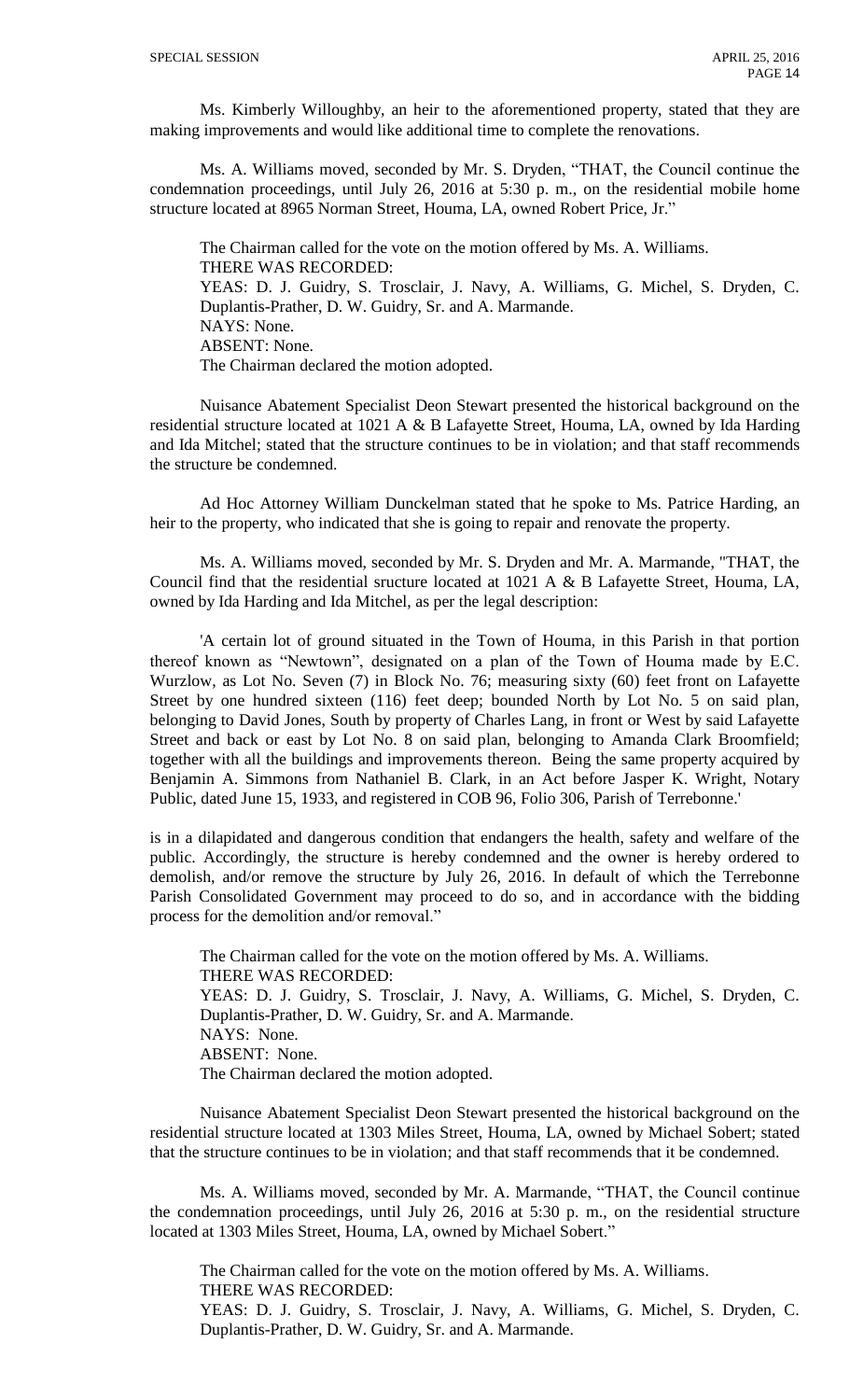Ms. Kimberly Willoughby, an heir to the aforementioned property, stated that they are making improvements and would like additional time to complete the renovations.

Ms. A. Williams moved, seconded by Mr. S. Dryden, "THAT, the Council continue the condemnation proceedings, until July 26, 2016 at 5:30 p. m., on the residential mobile home structure located at 8965 Norman Street, Houma, LA, owned Robert Price, Jr."

The Chairman called for the vote on the motion offered by Ms. A. Williams. THERE WAS RECORDED: YEAS: D. J. Guidry, S. Trosclair, J. Navy, A. Williams, G. Michel, S. Dryden, C. Duplantis-Prather, D. W. Guidry, Sr. and A. Marmande. NAYS: None. ABSENT: None. The Chairman declared the motion adopted.

Nuisance Abatement Specialist Deon Stewart presented the historical background on the residential structure located at 1021 A & B Lafayette Street, Houma, LA, owned by Ida Harding and Ida Mitchel; stated that the structure continues to be in violation; and that staff recommends the structure be condemned.

Ad Hoc Attorney William Dunckelman stated that he spoke to Ms. Patrice Harding, an heir to the property, who indicated that she is going to repair and renovate the property.

Ms. A. Williams moved, seconded by Mr. S. Dryden and Mr. A. Marmande, "THAT, the Council find that the residential sructure located at 1021 A & B Lafayette Street, Houma, LA, owned by Ida Harding and Ida Mitchel, as per the legal description:

'A certain lot of ground situated in the Town of Houma, in this Parish in that portion thereof known as "Newtown", designated on a plan of the Town of Houma made by E.C. Wurzlow, as Lot No. Seven (7) in Block No. 76; measuring sixty (60) feet front on Lafayette Street by one hundred sixteen (116) feet deep; bounded North by Lot No. 5 on said plan, belonging to David Jones, South by property of Charles Lang, in front or West by said Lafayette Street and back or east by Lot No. 8 on said plan, belonging to Amanda Clark Broomfield; together with all the buildings and improvements thereon. Being the same property acquired by Benjamin A. Simmons from Nathaniel B. Clark, in an Act before Jasper K. Wright, Notary Public, dated June 15, 1933, and registered in COB 96, Folio 306, Parish of Terrebonne.'

is in a dilapidated and dangerous condition that endangers the health, safety and welfare of the public. Accordingly, the structure is hereby condemned and the owner is hereby ordered to demolish, and/or remove the structure by July 26, 2016. In default of which the Terrebonne Parish Consolidated Government may proceed to do so, and in accordance with the bidding process for the demolition and/or removal."

The Chairman called for the vote on the motion offered by Ms. A. Williams. THERE WAS RECORDED: YEAS: D. J. Guidry, S. Trosclair, J. Navy, A. Williams, G. Michel, S. Dryden, C. Duplantis-Prather, D. W. Guidry, Sr. and A. Marmande. NAYS: None. ABSENT: None. The Chairman declared the motion adopted.

Nuisance Abatement Specialist Deon Stewart presented the historical background on the residential structure located at 1303 Miles Street, Houma, LA, owned by Michael Sobert; stated that the structure continues to be in violation; and that staff recommends that it be condemned.

Ms. A. Williams moved, seconded by Mr. A. Marmande, "THAT, the Council continue the condemnation proceedings, until July 26, 2016 at 5:30 p. m., on the residential structure located at 1303 Miles Street, Houma, LA, owned by Michael Sobert."

The Chairman called for the vote on the motion offered by Ms. A. Williams. THERE WAS RECORDED: YEAS: D. J. Guidry, S. Trosclair, J. Navy, A. Williams, G. Michel, S. Dryden, C. Duplantis-Prather, D. W. Guidry, Sr. and A. Marmande.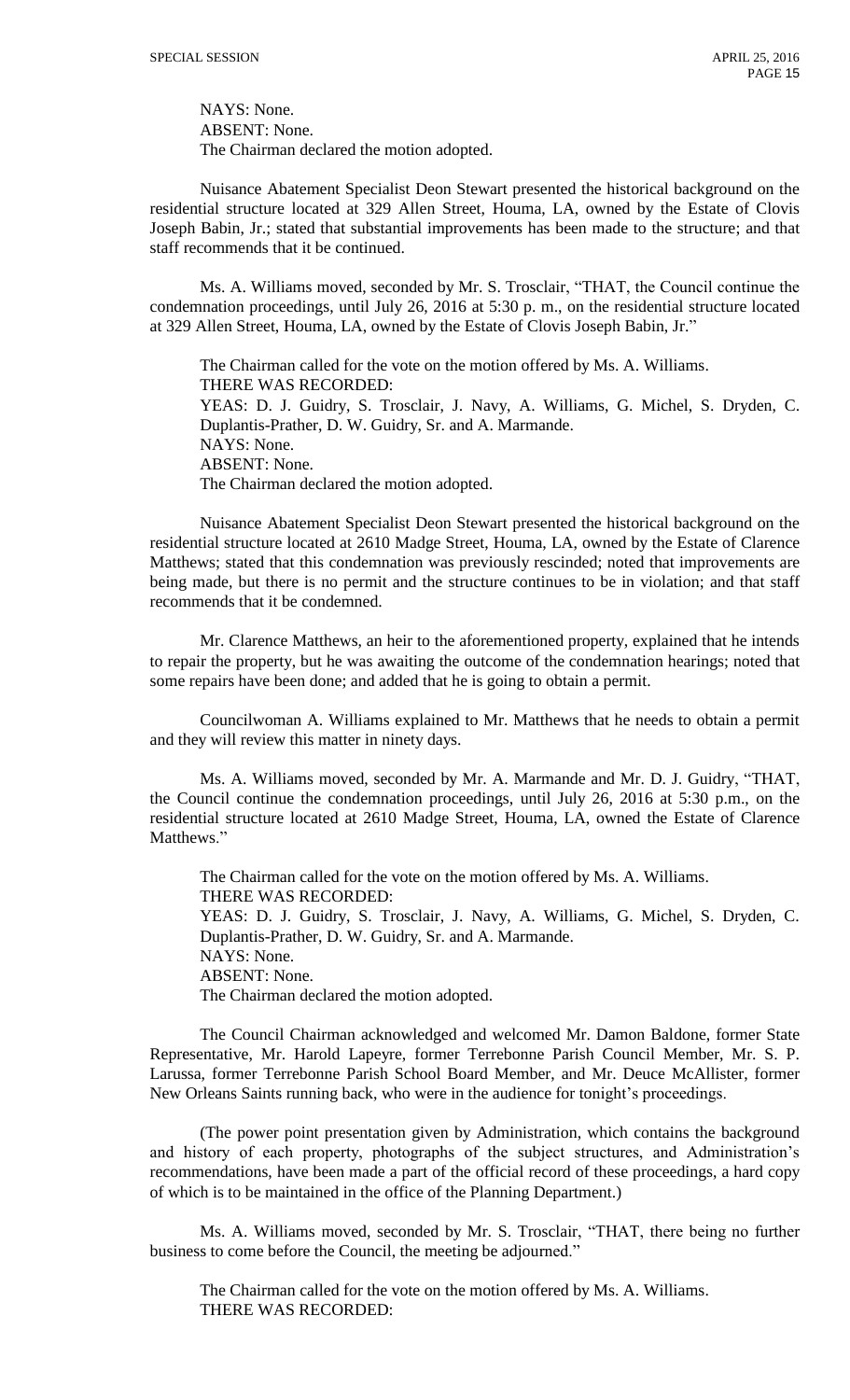NAYS: None. ABSENT: None. The Chairman declared the motion adopted.

Nuisance Abatement Specialist Deon Stewart presented the historical background on the residential structure located at 329 Allen Street, Houma, LA, owned by the Estate of Clovis Joseph Babin, Jr.; stated that substantial improvements has been made to the structure; and that staff recommends that it be continued.

Ms. A. Williams moved, seconded by Mr. S. Trosclair, "THAT, the Council continue the condemnation proceedings, until July 26, 2016 at 5:30 p. m., on the residential structure located at 329 Allen Street, Houma, LA, owned by the Estate of Clovis Joseph Babin, Jr."

The Chairman called for the vote on the motion offered by Ms. A. Williams. THERE WAS RECORDED: YEAS: D. J. Guidry, S. Trosclair, J. Navy, A. Williams, G. Michel, S. Dryden, C. Duplantis-Prather, D. W. Guidry, Sr. and A. Marmande. NAYS: None. ABSENT: None. The Chairman declared the motion adopted.

Nuisance Abatement Specialist Deon Stewart presented the historical background on the residential structure located at 2610 Madge Street, Houma, LA, owned by the Estate of Clarence Matthews; stated that this condemnation was previously rescinded; noted that improvements are being made, but there is no permit and the structure continues to be in violation; and that staff recommends that it be condemned.

Mr. Clarence Matthews, an heir to the aforementioned property, explained that he intends to repair the property, but he was awaiting the outcome of the condemnation hearings; noted that some repairs have been done; and added that he is going to obtain a permit.

Councilwoman A. Williams explained to Mr. Matthews that he needs to obtain a permit and they will review this matter in ninety days.

Ms. A. Williams moved, seconded by Mr. A. Marmande and Mr. D. J. Guidry, "THAT, the Council continue the condemnation proceedings, until July 26, 2016 at 5:30 p.m., on the residential structure located at 2610 Madge Street, Houma, LA, owned the Estate of Clarence Matthews."

The Chairman called for the vote on the motion offered by Ms. A. Williams. THERE WAS RECORDED: YEAS: D. J. Guidry, S. Trosclair, J. Navy, A. Williams, G. Michel, S. Dryden, C. Duplantis-Prather, D. W. Guidry, Sr. and A. Marmande. NAYS: None. ABSENT: None. The Chairman declared the motion adopted.

The Council Chairman acknowledged and welcomed Mr. Damon Baldone, former State Representative, Mr. Harold Lapeyre, former Terrebonne Parish Council Member, Mr. S. P. Larussa, former Terrebonne Parish School Board Member, and Mr. Deuce McAllister, former New Orleans Saints running back, who were in the audience for tonight's proceedings.

(The power point presentation given by Administration, which contains the background and history of each property, photographs of the subject structures, and Administration's recommendations, have been made a part of the official record of these proceedings, a hard copy of which is to be maintained in the office of the Planning Department.)

Ms. A. Williams moved, seconded by Mr. S. Trosclair, "THAT, there being no further business to come before the Council, the meeting be adjourned."

The Chairman called for the vote on the motion offered by Ms. A. Williams. THERE WAS RECORDED: